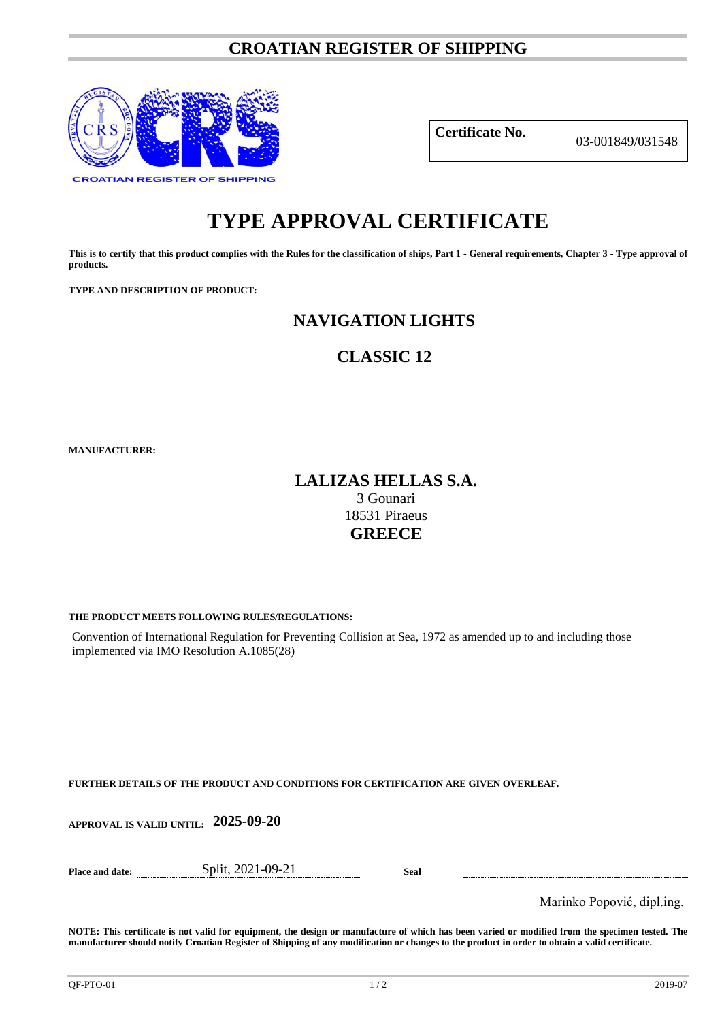# **CROATIAN REGISTER OF SHIPPING**



**Certificate No.** 03-001849/031548

# **TYPE APPROVAL CERTIFICATE**

**This is to certify that this product complies with the Rules for the classification of ships, Part 1 - General requirements, Chapter 3 - Type approval of products.**

**TYPE AND DESCRIPTION OF PRODUCT:** 

# **NAVIGATION LIGHTS**

# **CLASSIC 12**

**MANUFACTURER:**

# **LALIZAS HELLAS S.A.**

3 Gounari 18531 Piraeus **GREECE**

## **THE PRODUCT MEETS FOLLOWING RULES/REGULATIONS:**

Convention of International Regulation for Preventing Collision at Sea, 1972 as amended up to and including those implemented via IMO Resolution A.1085(28)

# **FURTHER DETAILS OF THE PRODUCT AND CONDITIONS FOR CERTIFICATION ARE GIVEN OVERLEAF.**

| <b>APPROVAL IS VALID UNTIL:</b> | 2025-09-20 |
|---------------------------------|------------|
|                                 |            |
|                                 |            |

**Place and date:** Split, 2021-09-21 **Seal**

Marinko Popović, dipl.ing.

**NOTE: This certificate is not valid for equipment, the design or manufacture of which has been varied or modified from the specimen tested. The manufacturer should notify Croatian Register of Shipping of any modification or changes to the product in order to obtain a valid certificate.**